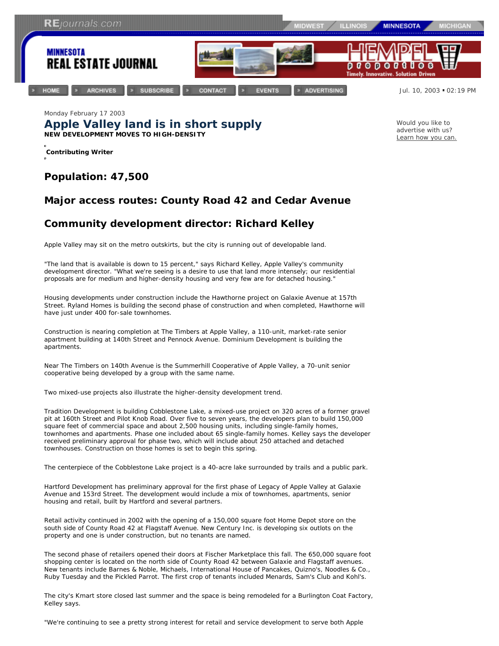

Monday February 17 2003 **Apple Valley land is in short supply NEW DEVELOPMENT MOVES TO HIGH-DENSITY**

**Contributing Writer**

## *Population: 47,500*

## *Major access routes: County Road 42 and Cedar Avenue*

## *Community development director: Richard Kelley*

Apple Valley may sit on the metro outskirts, but the city is running out of developable land.

"The land that is available is down to 15 percent," says Richard Kelley, Apple Valley's community development director. "What we're seeing is a desire to use that land more intensely; our residential proposals are for medium and higher-density housing and very few are for detached housing."

Housing developments under construction include the Hawthorne project on Galaxie Avenue at 157th Street. Ryland Homes is building the second phase of construction and when completed, Hawthorne will have just under 400 for-sale townhomes.

Construction is nearing completion at The Timbers at Apple Valley, a 110-unit, market-rate senior apartment building at 140th Street and Pennock Avenue. Dominium Development is building the apartments.

Near The Timbers on 140th Avenue is the Summerhill Cooperative of Apple Valley, a 70-unit senior cooperative being developed by a group with the same name.

Two mixed-use projects also illustrate the higher-density development trend.

Tradition Development is building Cobblestone Lake, a mixed-use project on 320 acres of a former gravel pit at 160th Street and Pilot Knob Road. Over five to seven years, the developers plan to build 150,000 square feet of commercial space and about 2,500 housing units, including single-family homes, townhomes and apartments. Phase one included about 65 single-family homes. Kelley says the developer received preliminary approval for phase two, which will include about 250 attached and detached townhouses. Construction on those homes is set to begin this spring.

The centerpiece of the Cobblestone Lake project is a 40-acre lake surrounded by trails and a public park.

Hartford Development has preliminary approval for the first phase of Legacy of Apple Valley at Galaxie Avenue and 153rd Street. The development would include a mix of townhomes, apartments, senior housing and retail, built by Hartford and several partners.

Retail activity continued in 2002 with the opening of a 150,000 square foot Home Depot store on the south side of County Road 42 at Flagstaff Avenue. New Century Inc. is developing six outlots on the property and one is under construction, but no tenants are named.

The second phase of retailers opened their doors at Fischer Marketplace this fall. The 650,000 square foot shopping center is located on the north side of County Road 42 between Galaxie and Flagstaff avenues. New tenants include Barnes & Noble, Michaels, International House of Pancakes, Quizno's, Noodles & Co., Ruby Tuesday and the Pickled Parrot. The first crop of tenants included Menards, Sam's Club and Kohl's.

The city's Kmart store closed last summer and the space is being remodeled for a Burlington Coat Factory, Kelley says.

"We're continuing to see a pretty strong interest for retail and service development to serve both Apple

Would you like to advertise with us? Learn how you can.